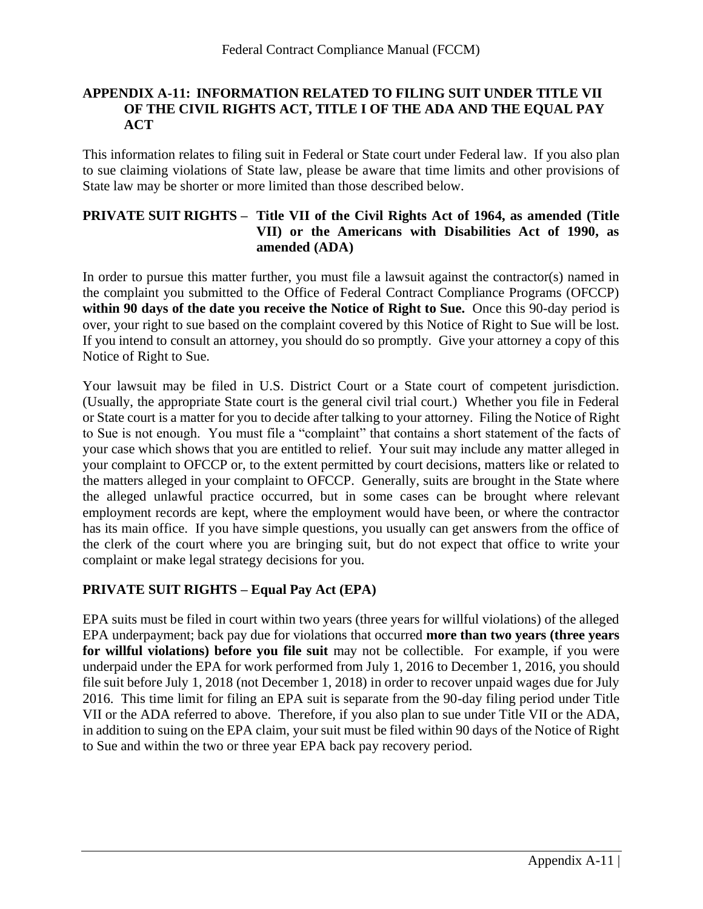## **APPENDIX A-11: INFORMATION RELATED TO FILING SUIT UNDER TITLE VII OF THE CIVIL RIGHTS ACT, TITLE I OF THE ADA AND THE EQUAL PAY ACT**

This information relates to filing suit in Federal or State court under Federal law. If you also plan to sue claiming violations of State law, please be aware that time limits and other provisions of State law may be shorter or more limited than those described below.

## **PRIVATE SUIT RIGHTS – Title VII of the Civil Rights Act of 1964, as amended (Title VII) or the Americans with Disabilities Act of 1990, as amended (ADA)**

In order to pursue this matter further, you must file a lawsuit against the contractor(s) named in the complaint you submitted to the Office of Federal Contract Compliance Programs (OFCCP) **within 90 days of the date you receive the Notice of Right to Sue.** Once this 90-day period is over, your right to sue based on the complaint covered by this Notice of Right to Sue will be lost. If you intend to consult an attorney, you should do so promptly. Give your attorney a copy of this Notice of Right to Sue.

Your lawsuit may be filed in U.S. District Court or a State court of competent jurisdiction. (Usually, the appropriate State court is the general civil trial court.) Whether you file in Federal or State court is a matter for you to decide after talking to your attorney. Filing the Notice of Right to Sue is not enough. You must file a "complaint" that contains a short statement of the facts of your case which shows that you are entitled to relief. Your suit may include any matter alleged in your complaint to OFCCP or, to the extent permitted by court decisions, matters like or related to the matters alleged in your complaint to OFCCP. Generally, suits are brought in the State where the alleged unlawful practice occurred, but in some cases can be brought where relevant employment records are kept, where the employment would have been, or where the contractor has its main office. If you have simple questions, you usually can get answers from the office of the clerk of the court where you are bringing suit, but do not expect that office to write your complaint or make legal strategy decisions for you.

# **PRIVATE SUIT RIGHTS – Equal Pay Act (EPA)**

EPA suits must be filed in court within two years (three years for willful violations) of the alleged EPA underpayment; back pay due for violations that occurred **more than two years (three years for willful violations) before you file suit** may not be collectible. For example, if you were underpaid under the EPA for work performed from July 1, 2016 to December 1, 2016, you should file suit before July 1, 2018 (not December 1, 2018) in order to recover unpaid wages due for July 2016. This time limit for filing an EPA suit is separate from the 90-day filing period under Title VII or the ADA referred to above. Therefore, if you also plan to sue under Title VII or the ADA, in addition to suing on the EPA claim, your suit must be filed within 90 days of the Notice of Right to Sue and within the two or three year EPA back pay recovery period.